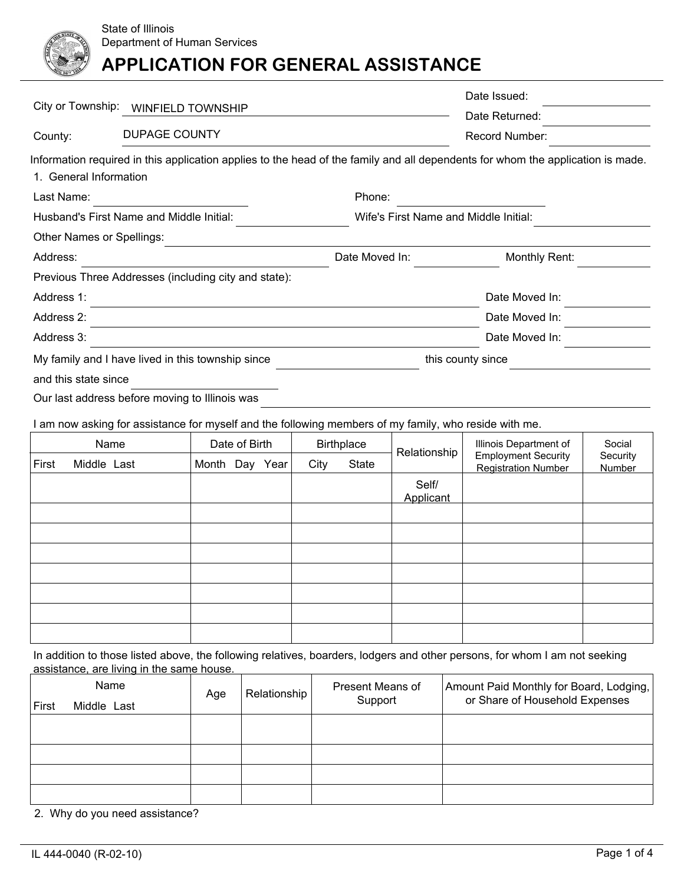

|                        |                                                                                                                                 |                                       | Date Issued:          |  |  |
|------------------------|---------------------------------------------------------------------------------------------------------------------------------|---------------------------------------|-----------------------|--|--|
| City or Township:      | <b>WINFIELD TOWNSHIP</b>                                                                                                        |                                       | Date Returned:        |  |  |
| County:                | <b>DUPAGE COUNTY</b>                                                                                                            |                                       | <b>Record Number:</b> |  |  |
|                        | Information required in this application applies to the head of the family and all dependents for whom the application is made. |                                       |                       |  |  |
| 1. General Information |                                                                                                                                 |                                       |                       |  |  |
| Last Name:             |                                                                                                                                 | Phone:                                |                       |  |  |
|                        | Husband's First Name and Middle Initial:                                                                                        | Wife's First Name and Middle Initial: |                       |  |  |
|                        | Other Names or Spellings:                                                                                                       |                                       |                       |  |  |
| Address:               |                                                                                                                                 | Date Moved In:                        | Monthly Rent:         |  |  |
|                        | Previous Three Addresses (including city and state):                                                                            |                                       |                       |  |  |
| Address 1:             |                                                                                                                                 |                                       | Date Moved In:        |  |  |
| Address 2:             |                                                                                                                                 |                                       | Date Moved In:        |  |  |
| Address 3:             |                                                                                                                                 |                                       | Date Moved In:        |  |  |
|                        | My family and I have lived in this township since                                                                               |                                       | this county since     |  |  |
| and this state since   |                                                                                                                                 |                                       |                       |  |  |
|                        | Our last address before moving to Illinois was                                                                                  |                                       |                       |  |  |
|                        | I am now asking for assistance for myself and the following members of my family, who reside with me.                           |                                       |                       |  |  |

| Name  |             | Date of Birth<br><b>Birthplace</b> |     |      | Relationship | Illinois Department of | Social             |                                                          |                    |
|-------|-------------|------------------------------------|-----|------|--------------|------------------------|--------------------|----------------------------------------------------------|--------------------|
| First | Middle Last | Month                              | Day | Year | City         | State                  |                    | <b>Employment Security</b><br><b>Registration Number</b> | Security<br>Number |
|       |             |                                    |     |      |              |                        | Self/<br>Applicant |                                                          |                    |
|       |             |                                    |     |      |              |                        |                    |                                                          |                    |
|       |             |                                    |     |      |              |                        |                    |                                                          |                    |
|       |             |                                    |     |      |              |                        |                    |                                                          |                    |
|       |             |                                    |     |      |              |                        |                    |                                                          |                    |
|       |             |                                    |     |      |              |                        |                    |                                                          |                    |
|       |             |                                    |     |      |              |                        |                    |                                                          |                    |
|       |             |                                    |     |      |              |                        |                    |                                                          |                    |

In addition to those listed above, the following relatives, boarders, lodgers and other persons, for whom I am not seeking assistance, are living in the same house.

| ∣ First | Name<br>Age<br>Middle Last |  | Relationship | Present Means of<br>Support | Amount Paid Monthly for Board, Lodging,  <br>or Share of Household Expenses |
|---------|----------------------------|--|--------------|-----------------------------|-----------------------------------------------------------------------------|
|         |                            |  |              |                             |                                                                             |
|         |                            |  |              |                             |                                                                             |
|         |                            |  |              |                             |                                                                             |
|         |                            |  |              |                             |                                                                             |

2. Why do you need assistance?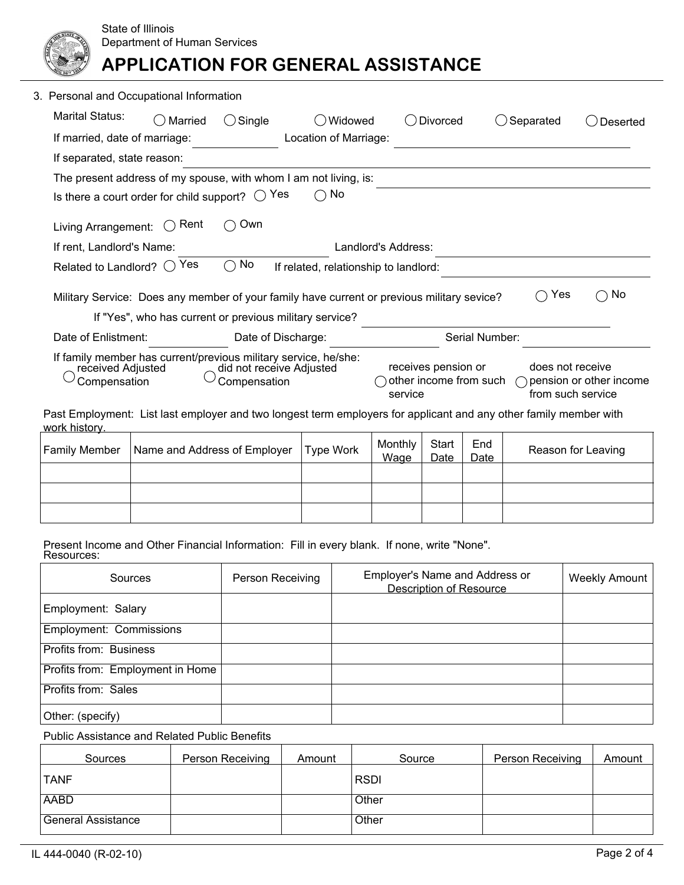| 3. Personal and Occupational Information                                                                                                         |         |        |                                                                                                                              |                     |  |           |          |
|--------------------------------------------------------------------------------------------------------------------------------------------------|---------|--------|------------------------------------------------------------------------------------------------------------------------------|---------------------|--|-----------|----------|
| Marital Status:                                                                                                                                  | Married | Single | Widowed                                                                                                                      | Divorced            |  | Separated | Deserted |
| If married, date of marriage:                                                                                                                    |         |        | Location of Marriage:                                                                                                        |                     |  |           |          |
| If separated, state reason:                                                                                                                      |         |        |                                                                                                                              |                     |  |           |          |
|                                                                                                                                                  |         |        | The present address of my spouse, with whom I am not living, is:                                                             |                     |  |           |          |
| Is there a court order for child support? $\bigcirc$                                                                                             |         |        | No<br>Yes                                                                                                                    |                     |  |           |          |
| Living Arrangement:                                                                                                                              | Rent    | Own    |                                                                                                                              |                     |  |           |          |
| If rent, Landlord's Name:                                                                                                                        |         |        |                                                                                                                              | Landlord's Address: |  |           |          |
| Related to Landlord? $\bigcirc$                                                                                                                  | Yes     | No     | If related, relationship to landlord:                                                                                        |                     |  |           |          |
|                                                                                                                                                  |         |        | Military Service: Does any member of your family have current or previous military sevice?                                   |                     |  | Yes       | No       |
|                                                                                                                                                  |         |        | If "Yes", who has current or previous military service?                                                                      |                     |  |           |          |
| Date of Enlistment:                                                                                                                              |         |        | Date of Discharge:                                                                                                           | Serial Number:      |  |           |          |
| If family member has current/previous military service, he/she:<br>did not receive Adjusted<br>received Adjusted<br>Compensation<br>Compensation |         |        | receives pension or<br>does not receive<br>other income from such<br>pension or other income<br>from such service<br>service |                     |  |           |          |
| Past Employment: List last employer and two longest term employers for applicant and any other family member with<br>work history.               |         |        |                                                                                                                              |                     |  |           |          |

| <b>Family Member</b> | Name and Address of Employer | Type Work | Monthly<br>Wage | Start<br>Date | End<br>Date | Reason for Leaving |
|----------------------|------------------------------|-----------|-----------------|---------------|-------------|--------------------|
|                      |                              |           |                 |               |             |                    |
|                      |                              |           |                 |               |             |                    |
|                      |                              |           |                 |               |             |                    |

Present Income and Other Financial Information: Fill in every blank. If none, write "None". Resources:

| Sources                          | <b>Person Receiving</b> | Employer's Name and Address or<br><b>Description of Resource</b> | <b>Weekly Amount</b> |
|----------------------------------|-------------------------|------------------------------------------------------------------|----------------------|
| Employment: Salary               |                         |                                                                  |                      |
| <b>Employment: Commissions</b>   |                         |                                                                  |                      |
| <b>Profits from: Business</b>    |                         |                                                                  |                      |
| Profits from: Employment in Home |                         |                                                                  |                      |
| Profits from: Sales              |                         |                                                                  |                      |
| Other: (specify)                 |                         |                                                                  |                      |

Public Assistance and Related Public Benefits

| Sources            | Person Receiving | Amount | Source      | <b>Person Receiving</b> | Amount |
|--------------------|------------------|--------|-------------|-------------------------|--------|
| <b>TANF</b>        |                  |        | <b>RSDI</b> |                         |        |
| <b>AABD</b>        |                  |        | Other       |                         |        |
| General Assistance |                  |        | Other       |                         |        |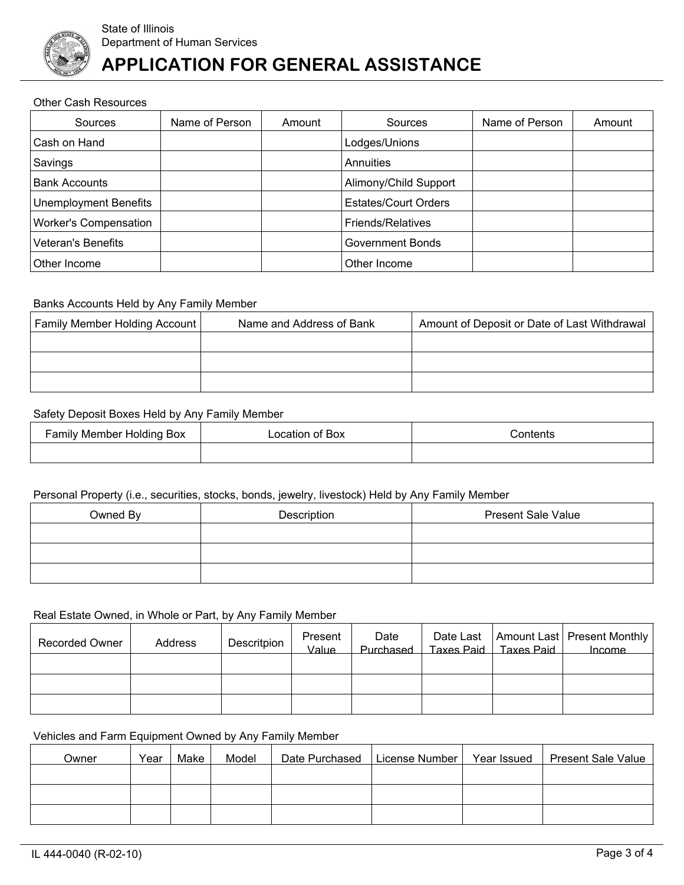

#### Other Cash Resources

| Sources                      | Name of Person | Amount | Sources                     | Name of Person | Amount |
|------------------------------|----------------|--------|-----------------------------|----------------|--------|
| Cash on Hand                 |                |        | Lodges/Unions               |                |        |
| Savings                      |                |        | Annuities                   |                |        |
| <b>Bank Accounts</b>         |                |        | Alimony/Child Support       |                |        |
| <b>Unemployment Benefits</b> |                |        | <b>Estates/Court Orders</b> |                |        |
| <b>Worker's Compensation</b> |                |        | <b>Friends/Relatives</b>    |                |        |
| Veteran's Benefits           |                |        | <b>Government Bonds</b>     |                |        |
| Other Income                 |                |        | Other Income                |                |        |

### Banks Accounts Held by Any Family Member

| Family Member Holding Account | Name and Address of Bank | Amount of Deposit or Date of Last Withdrawal |  |  |
|-------------------------------|--------------------------|----------------------------------------------|--|--|
|                               |                          |                                              |  |  |
|                               |                          |                                              |  |  |
|                               |                          |                                              |  |  |

#### Safety Deposit Boxes Held by Any Family Member

| Family Member Holding Box | Location of Box | contents: |  |  |
|---------------------------|-----------------|-----------|--|--|
|                           |                 |           |  |  |

## Personal Property (i.e., securities, stocks, bonds, jewelry, livestock) Held by Any Family Member

| Owned By | Description | <b>Present Sale Value</b> |
|----------|-------------|---------------------------|
|          |             |                           |
|          |             |                           |
|          |             |                           |

### Real Estate Owned, in Whole or Part, by Any Family Member

| <b>Recorded Owner</b> | Address | Descritpion | Present<br>Value | Date<br>Purchased | Taxes Paid Taxes Paid | Date Last   Amount Last   Present Monthly  <br><b>Income</b> |
|-----------------------|---------|-------------|------------------|-------------------|-----------------------|--------------------------------------------------------------|
|                       |         |             |                  |                   |                       |                                                              |
|                       |         |             |                  |                   |                       |                                                              |
|                       |         |             |                  |                   |                       |                                                              |

## Vehicles and Farm Equipment Owned by Any Family Member

| Owner | Year | Make | Model | Date Purchased | License Number | Year Issued | <b>Present Sale Value</b> |
|-------|------|------|-------|----------------|----------------|-------------|---------------------------|
|       |      |      |       |                |                |             |                           |
|       |      |      |       |                |                |             |                           |
|       |      |      |       |                |                |             |                           |